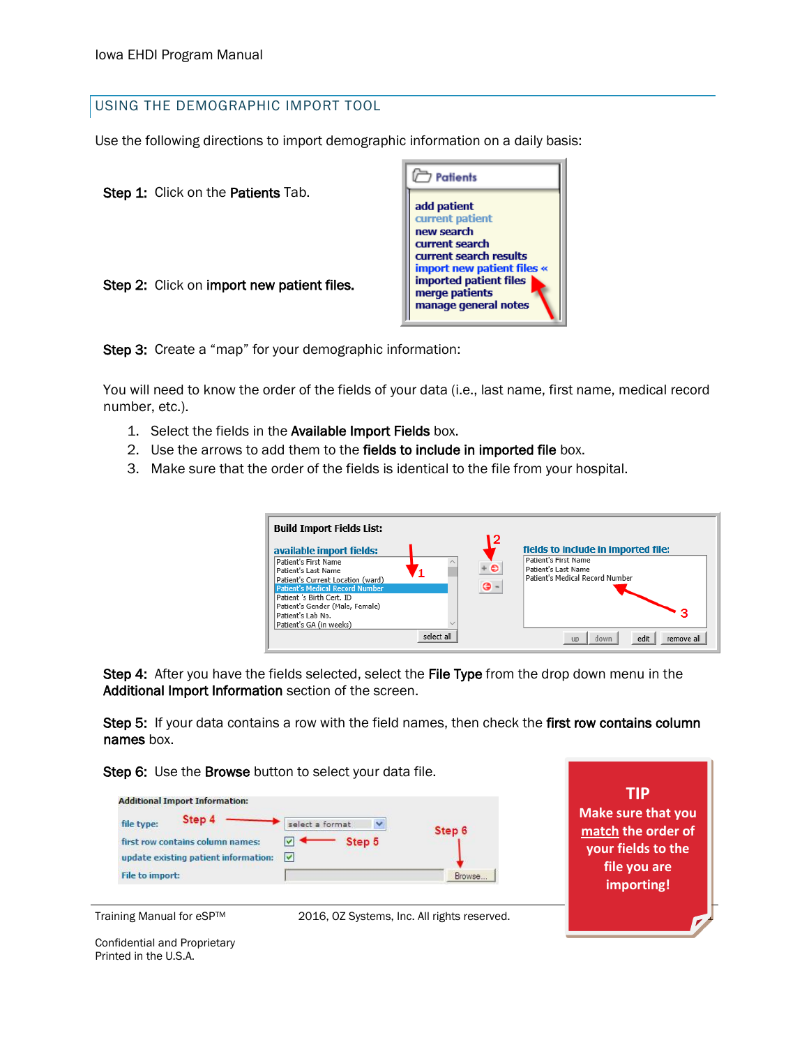## USING THE DEMOGRAPHIC IMPORT TOOL

Use the following directions to import demographic information on a daily basis:

Step 1: Click on the Patients Tab.





Step 3: Create a "map" for your demographic information:

You will need to know the order of the fields of your data (i.e., last name, first name, medical record number, etc.).

- 1. Select the fields in the Available Import Fields box.
- 2. Use the arrows to add them to the fields to include in imported file box.
- 3. Make sure that the order of the fields is identical to the file from your hospital.

| <b>Build Import Fields List:</b><br>available import fields:<br>Patient's First Name<br>Patient's Last Name<br>Patient's Current Location (ward)<br><b>Patient's Medical Record Number</b><br>Patient 's Birth Cert. ID<br>Patient's Gender (Male, Female) |            | ۱2<br>G - | fields to include in imported file:<br>Patient's First Name<br>Patient's Last Name<br>Patient's Medical Record Number |
|------------------------------------------------------------------------------------------------------------------------------------------------------------------------------------------------------------------------------------------------------------|------------|-----------|-----------------------------------------------------------------------------------------------------------------------|
| Patient's Lab No.<br>Patient's GA (in weeks)                                                                                                                                                                                                               |            |           |                                                                                                                       |
|                                                                                                                                                                                                                                                            | select all |           | edit<br>down<br>remove all<br><b>UD</b>                                                                               |

Step 4: After you have the fields selected, select the File Type from the drop down menu in the Additional Import Information section of the screen.

Step 5: If your data contains a row with the field names, then check the first row contains column names box.

Step 6: Use the Browse button to select your data file.





Training Manual for eSP™ 2016, OZ Systems, Inc. All rights reserved.

 **Make sure that you TIP match the order of your fields to the file you are importing!**

Confidential and Proprietary Printed in the U.S.A.